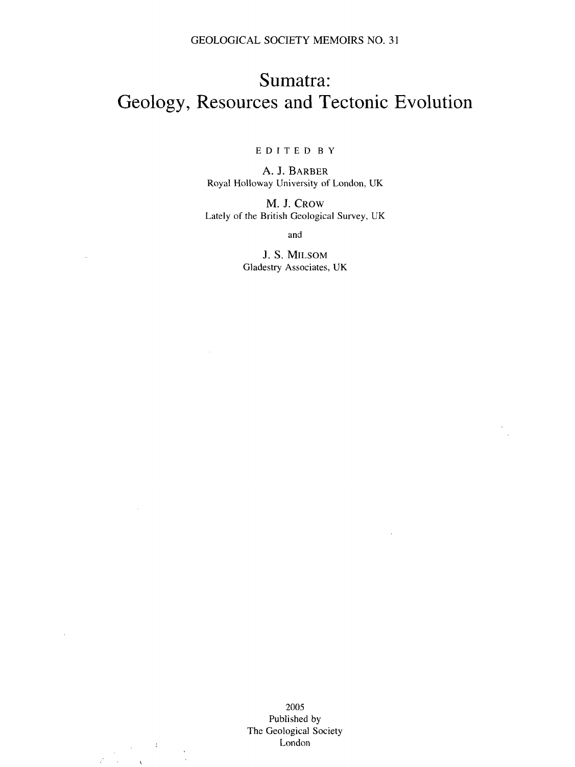## Sumatra: Geology, Resources and Tectonic Evolution

## EDITE D B Y

A. J. BARBER Royal Holloway University of London, UK

M. J. CROW Lately of the British Geological Survey, UK

and

J. S. MlLSOM Gladestry Associates, UK

 $\mathcal{L}$ 

 $\frac{1}{2} \sum_{i=1}^{n} \frac{1}{2} \sum_{j=1}^{n} \frac{1}{2} \sum_{j=1}^{n} \frac{1}{2} \sum_{j=1}^{n} \frac{1}{2} \sum_{j=1}^{n} \frac{1}{2} \sum_{j=1}^{n} \frac{1}{2} \sum_{j=1}^{n} \frac{1}{2} \sum_{j=1}^{n} \frac{1}{2} \sum_{j=1}^{n} \frac{1}{2} \sum_{j=1}^{n} \frac{1}{2} \sum_{j=1}^{n} \frac{1}{2} \sum_{j=1}^{n} \frac{1}{2} \sum_{j=1}^{n$ 

 $\bar{\chi}$ 

 $\mathcal{L}(\mathcal{A})$ 

2005 Published by The Geological Society London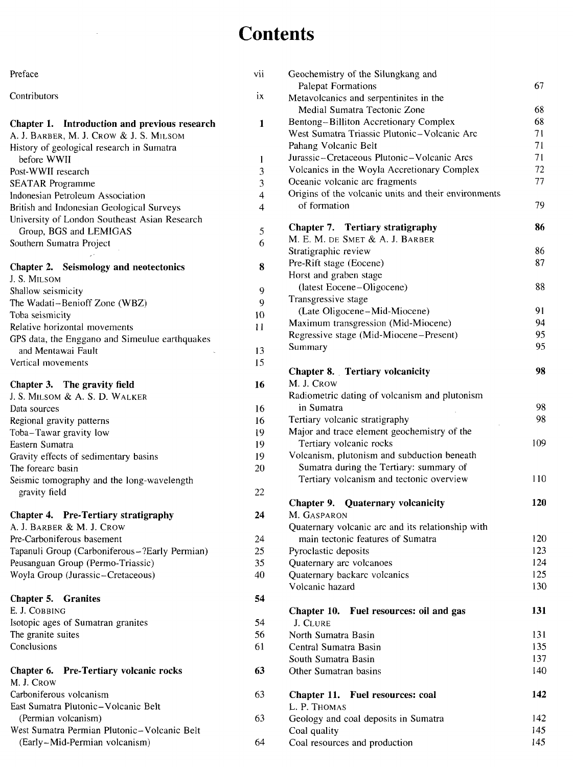## **Contents**

| Preface                                        | vii                     |
|------------------------------------------------|-------------------------|
| Contributors                                   | ix                      |
| Chapter 1. Introduction and previous research  | 1                       |
| A. J. BARBER, M. J. CROW & J. S. MILSOM        |                         |
| History of geological research in Sumatra      |                         |
| before WWII                                    | 1                       |
| Post-WWII research                             | 3                       |
| <b>SEATAR Programme</b>                        | 3                       |
| Indonesian Petroleum Association               | $\overline{4}$          |
| British and Indonesian Geological Surveys      | $\overline{\mathbf{4}}$ |
| University of London Southeast Asian Research  |                         |
| Group, BGS and LEMIGAS                         | 5                       |
| Southern Sumatra Project                       | 6                       |
| Chapter 2. Seismology and neotectonics         | 8                       |
| J. S. MILSOM                                   |                         |
| Shallow seismicity                             | 9                       |
| The Wadati-Benioff Zone (WBZ)                  | 9                       |
| Toba seismicity                                | 10                      |
| Relative horizontal movements                  | Ħ                       |
| GPS data, the Enggano and Simeulue earthquakes |                         |
| and Mentawai Fault                             | 13                      |
| Vertical movements                             | 15                      |
|                                                |                         |
| Chapter 3. The gravity field                   | 16                      |
| J. S. MILSOM & A. S. D. WALKER                 |                         |
| Data sources                                   | 16                      |
| Regional gravity patterns                      | 16                      |
| Toba-Tawar gravity low                         | 19                      |
| Eastern Sumatra                                | 19                      |
| Gravity effects of sedimentary basins          | 19                      |
| The forearc basin                              | 20                      |
| Seismic tomography and the long-wavelength     |                         |
| gravity field                                  | 22                      |
| <b>Pre-Tertiary stratigraphy</b><br>Chapter 4. | 24                      |
| A. J. BARBER & M. J. CROW                      |                         |
| Pre-Carboniferous basement                     | 24                      |
| Tapanuli Group (Carboniferous-?Early Permian)  | 25                      |
| Peusanguan Group (Permo-Triassic)              | 35                      |
| Woyla Group (Jurassic-Cretaceous)              | 40                      |
|                                                |                         |
| Chapter 5. Granites                            | 54                      |
| E. J. COBBING                                  |                         |
| Isotopic ages of Sumatran granites             | 54                      |
| The granite suites                             | 56                      |
| Conclusions                                    | 61                      |
| Chapter 6. Pre-Tertiary volcanic rocks         | 63                      |
| M. J. Crow                                     |                         |
| Carboniferous volcanism                        | 63                      |
| East Sumatra Plutonic-Volcanic Belt            |                         |
| (Permian volcanism)                            | 63                      |
| West Sumatra Permian Plutonic-Volcanic Belt    |                         |
| (Early-Mid-Permian volcanism)                  | 64                      |

 $\sim$ 

| Geochemistry of the Silungkang and                   |     |
|------------------------------------------------------|-----|
| <b>Palepat Formations</b>                            | 67  |
| Metavolcanics and serpentinites in the               |     |
| Medial Sumatra Tectonic Zone                         | 68  |
| Bentong-Billiton Accretionary Complex                | 68  |
| West Sumatra Triassic Plutonic-Volcanic Arc          | 71  |
| Pahang Volcanic Belt                                 | 71  |
| Jurassic-Cretaceous Plutonic-Volcanic Arcs           | 71  |
| Volcanics in the Woyla Accretionary Complex          | 72  |
| Oceanic volcanic arc fragments                       | 77  |
| Origins of the volcanic units and their environments |     |
| of formation                                         | 79  |
| Chapter 7. Tertiary stratigraphy                     | 86  |
| M. E. M. DE SMET & A. J. BARBER                      |     |
| Stratigraphic review                                 | 86  |
| Pre-Rift stage (Eocene)                              | 87  |
| Horst and graben stage                               |     |
| (latest Eocene-Oligocene)                            | 88  |
| Transgressive stage                                  |     |
| (Late Oligocene-Mid-Miocene)                         | 91  |
| Maximum transgression (Mid-Miocene)                  | 94  |
| Regressive stage (Mid-Miocene–Present)               | 95  |
| Summary                                              | 95  |
| <b>Chapter 8.</b> Tertiary volcanicity               | 98  |
| M. J. CROW                                           |     |
| Radiometric dating of volcanism and plutonism        |     |
| in Sumatra                                           | 98  |
| Tertiary volcanic stratigraphy                       | 98  |
| Major and trace element geochemistry of the          |     |
| Tertiary volcanic rocks                              | 109 |
| Volcanism, plutonism and subduction beneath          |     |
| Sumatra during the Tertiary: summary of              |     |
| Tertiary volcanism and tectonic overview             | 110 |
| <b>Chapter 9. Quaternary volcanicity</b>             | 120 |
| M. Gasparon                                          |     |
| Quaternary volcanic arc and its relationship with    |     |
| main tectonic features of Sumatra                    | 120 |
| Pyroclastic deposits                                 | 123 |
| Quaternary arc volcanoes                             | 124 |
| Quaternary backarc volcanics                         | 125 |
| Volcanic hazard                                      | 130 |
|                                                      |     |
| Chapter 10. Fuel resources: oil and gas              | 131 |
| J. CLURE                                             |     |
| North Sumatra Basin                                  | 131 |
| Central Sumatra Basin                                | 135 |
| South Sumatra Basin                                  | 137 |
| Other Sumatran basins                                | 140 |
| Chapter 11. Fuel resources: coal                     | 142 |
| L. P. THOMAS                                         |     |
| Geology and coal deposits in Sumatra                 | 142 |
| Coal quality                                         | 145 |
| Coal resources and production                        | 145 |